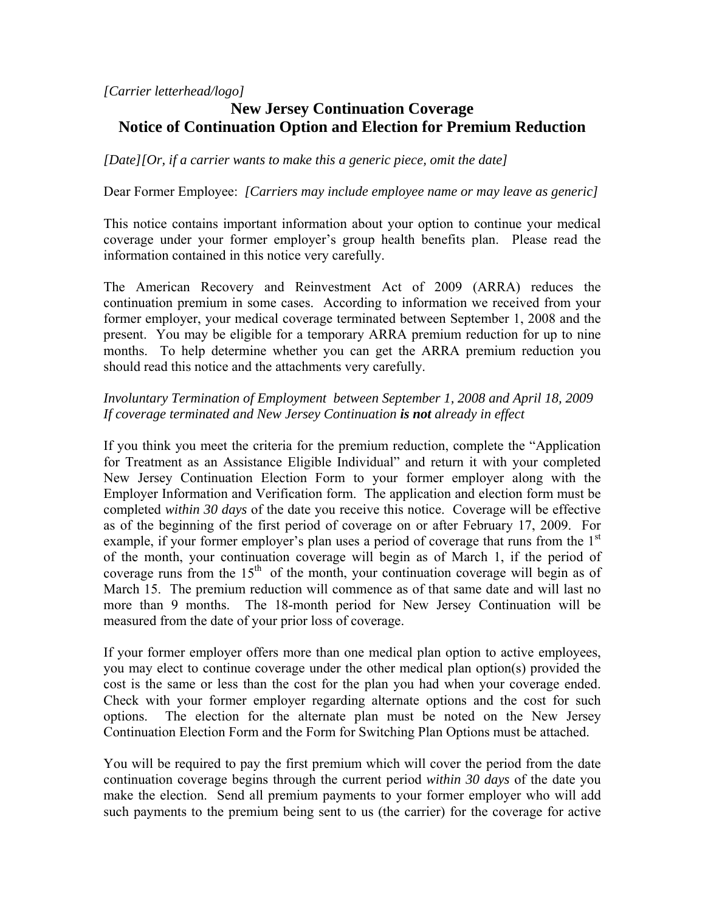*[Carrier letterhead/logo]* 

# **New Jersey Continuation Coverage Notice of Continuation Option and Election for Premium Reduction**

*[Date][Or, if a carrier wants to make this a generic piece, omit the date]* 

Dear Former Employee: *[Carriers may include employee name or may leave as generic]* 

This notice contains important information about your option to continue your medical coverage under your former employer's group health benefits plan. Please read the information contained in this notice very carefully.

The American Recovery and Reinvestment Act of 2009 (ARRA) reduces the continuation premium in some cases. According to information we received from your former employer, your medical coverage terminated between September 1, 2008 and the present. You may be eligible for a temporary ARRA premium reduction for up to nine months. To help determine whether you can get the ARRA premium reduction you should read this notice and the attachments very carefully.

### *Involuntary Termination of Employment between September 1, 2008 and April 18, 2009 If coverage terminated and New Jersey Continuation is not already in effect*

If you think you meet the criteria for the premium reduction, complete the "Application for Treatment as an Assistance Eligible Individual" and return it with your completed New Jersey Continuation Election Form to your former employer along with the Employer Information and Verification form. The application and election form must be completed *within 30 days* of the date you receive this notice. Coverage will be effective as of the beginning of the first period of coverage on or after February 17, 2009. For example, if your former employer's plan uses a period of coverage that runs from the  $1<sup>st</sup>$ of the month, your continuation coverage will begin as of March 1, if the period of coverage runs from the  $15<sup>th</sup>$  of the month, your continuation coverage will begin as of March 15. The premium reduction will commence as of that same date and will last no more than 9 months. The 18-month period for New Jersey Continuation will be measured from the date of your prior loss of coverage.

If your former employer offers more than one medical plan option to active employees, you may elect to continue coverage under the other medical plan option(s) provided the cost is the same or less than the cost for the plan you had when your coverage ended. Check with your former employer regarding alternate options and the cost for such options. The election for the alternate plan must be noted on the New Jersey Continuation Election Form and the Form for Switching Plan Options must be attached.

You will be required to pay the first premium which will cover the period from the date continuation coverage begins through the current period *within 30 days* of the date you make the election. Send all premium payments to your former employer who will add such payments to the premium being sent to us (the carrier) for the coverage for active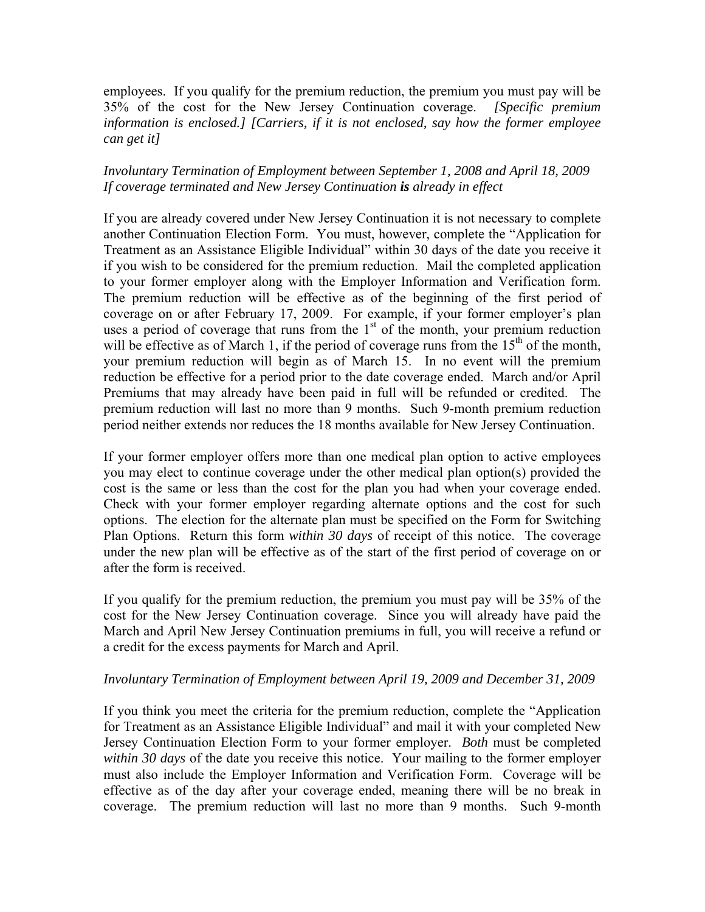employees. If you qualify for the premium reduction, the premium you must pay will be 35% of the cost for the New Jersey Continuation coverage. *[Specific premium information is enclosed.] [Carriers, if it is not enclosed, say how the former employee can get it]* 

### *Involuntary Termination of Employment between September 1, 2008 and April 18, 2009 If coverage terminated and New Jersey Continuation is already in effect*

If you are already covered under New Jersey Continuation it is not necessary to complete another Continuation Election Form. You must, however, complete the "Application for Treatment as an Assistance Eligible Individual" within 30 days of the date you receive it if you wish to be considered for the premium reduction. Mail the completed application to your former employer along with the Employer Information and Verification form. The premium reduction will be effective as of the beginning of the first period of coverage on or after February 17, 2009. For example, if your former employer's plan uses a period of coverage that runs from the  $1<sup>st</sup>$  of the month, your premium reduction will be effective as of March 1, if the period of coverage runs from the  $15<sup>th</sup>$  of the month, your premium reduction will begin as of March 15. In no event will the premium reduction be effective for a period prior to the date coverage ended. March and/or April Premiums that may already have been paid in full will be refunded or credited. The premium reduction will last no more than 9 months. Such 9-month premium reduction period neither extends nor reduces the 18 months available for New Jersey Continuation.

If your former employer offers more than one medical plan option to active employees you may elect to continue coverage under the other medical plan option(s) provided the cost is the same or less than the cost for the plan you had when your coverage ended. Check with your former employer regarding alternate options and the cost for such options. The election for the alternate plan must be specified on the Form for Switching Plan Options. Return this form *within 30 days* of receipt of this notice. The coverage under the new plan will be effective as of the start of the first period of coverage on or after the form is received.

If you qualify for the premium reduction, the premium you must pay will be 35% of the cost for the New Jersey Continuation coverage. Since you will already have paid the March and April New Jersey Continuation premiums in full, you will receive a refund or a credit for the excess payments for March and April.

### *Involuntary Termination of Employment between April 19, 2009 and December 31, 2009*

If you think you meet the criteria for the premium reduction, complete the "Application for Treatment as an Assistance Eligible Individual" and mail it with your completed New Jersey Continuation Election Form to your former employer. *Both* must be completed *within 30 days* of the date you receive this notice. Your mailing to the former employer must also include the Employer Information and Verification Form. Coverage will be effective as of the day after your coverage ended, meaning there will be no break in coverage. The premium reduction will last no more than 9 months. Such 9-month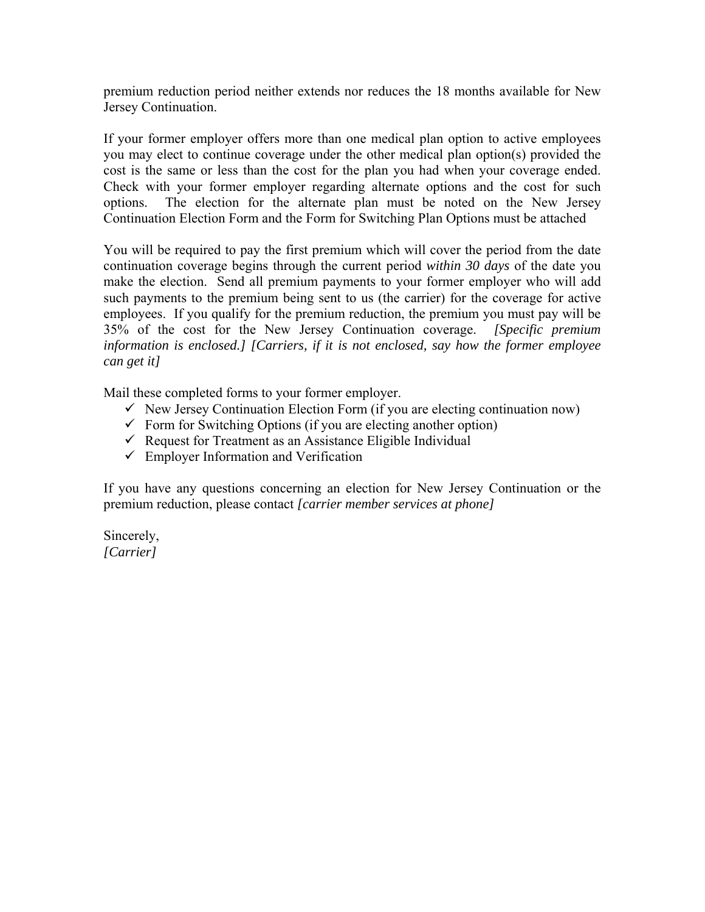premium reduction period neither extends nor reduces the 18 months available for New Jersey Continuation.

If your former employer offers more than one medical plan option to active employees you may elect to continue coverage under the other medical plan option(s) provided the cost is the same or less than the cost for the plan you had when your coverage ended. Check with your former employer regarding alternate options and the cost for such options. The election for the alternate plan must be noted on the New Jersey Continuation Election Form and the Form for Switching Plan Options must be attached

You will be required to pay the first premium which will cover the period from the date continuation coverage begins through the current period *within 30 days* of the date you make the election. Send all premium payments to your former employer who will add such payments to the premium being sent to us (the carrier) for the coverage for active employees. If you qualify for the premium reduction, the premium you must pay will be 35% of the cost for the New Jersey Continuation coverage. *[Specific premium information is enclosed.] [Carriers, if it is not enclosed, say how the former employee can get it]* 

Mail these completed forms to your former employer.

- $\checkmark$  New Jersey Continuation Election Form (if you are electing continuation now)
- $\checkmark$  Form for Switching Options (if you are electing another option)
- $\checkmark$  Request for Treatment as an Assistance Eligible Individual
- $\checkmark$  Employer Information and Verification

If you have any questions concerning an election for New Jersey Continuation or the premium reduction, please contact *[carrier member services at phone]*

Sincerely, *[Carrier]*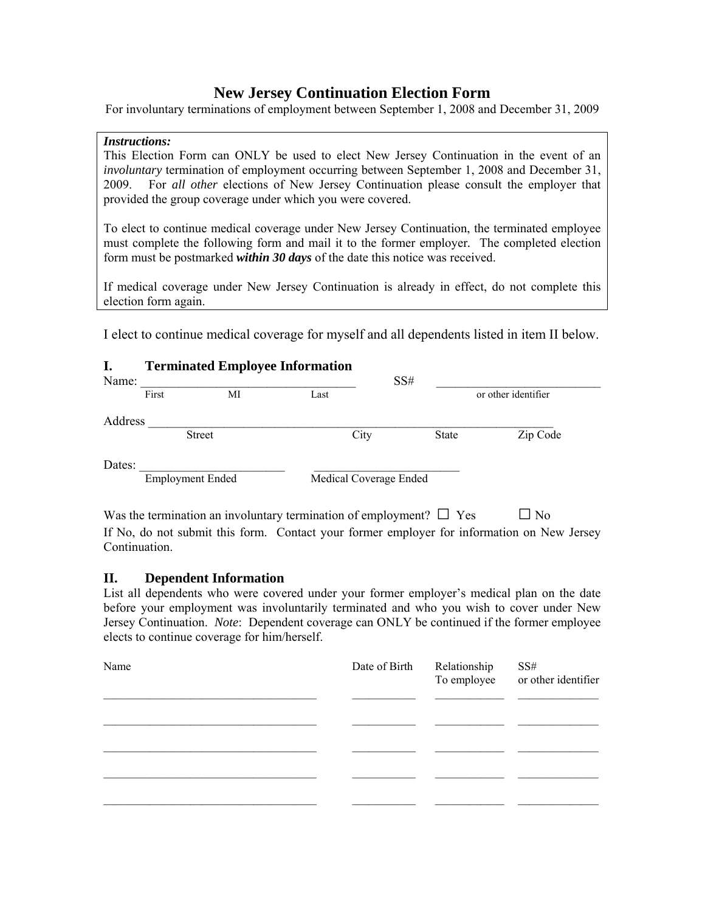## **New Jersey Continuation Election Form**

For involuntary terminations of employment between September 1, 2008 and December 31, 2009

#### *Instructions:*

This Election Form can ONLY be used to elect New Jersey Continuation in the event of an *involuntary* termination of employment occurring between September 1, 2008 and December 31, 2009. For *all other* elections of New Jersey Continuation please consult the employer that provided the group coverage under which you were covered.

To elect to continue medical coverage under New Jersey Continuation, the terminated employee must complete the following form and mail it to the former employer*.* The completed election form must be postmarked *within 30 days* of the date this notice was received.

If medical coverage under New Jersey Continuation is already in effect, do not complete this election form again.

I elect to continue medical coverage for myself and all dependents listed in item II below.

### **I. Terminated Employee Information**

| Name:   |                         |               |                        | SS#   |                     |
|---------|-------------------------|---------------|------------------------|-------|---------------------|
|         | First                   | МI            | Last                   |       | or other identifier |
| Address |                         |               |                        |       |                     |
|         |                         | <b>Street</b> | City                   | State | Zip Code            |
| Dates:  | <b>Employment Ended</b> |               | Medical Coverage Ended |       |                     |

Was the termination an involuntary termination of employment?  $\square$  Yes  $\square$  No If No, do not submit this form. Contact your former employer for information on New Jersey Continuation.

### **II. Dependent Information**

List all dependents who were covered under your former employer's medical plan on the date before your employment was involuntarily terminated and who you wish to cover under New Jersey Continuation. *Note*: Dependent coverage can ONLY be continued if the former employee elects to continue coverage for him/herself.

| Name | Date of Birth Relationship | SS#<br>To employee or other identifier |
|------|----------------------------|----------------------------------------|
|      |                            |                                        |
|      |                            |                                        |
|      |                            |                                        |
|      |                            |                                        |
|      |                            |                                        |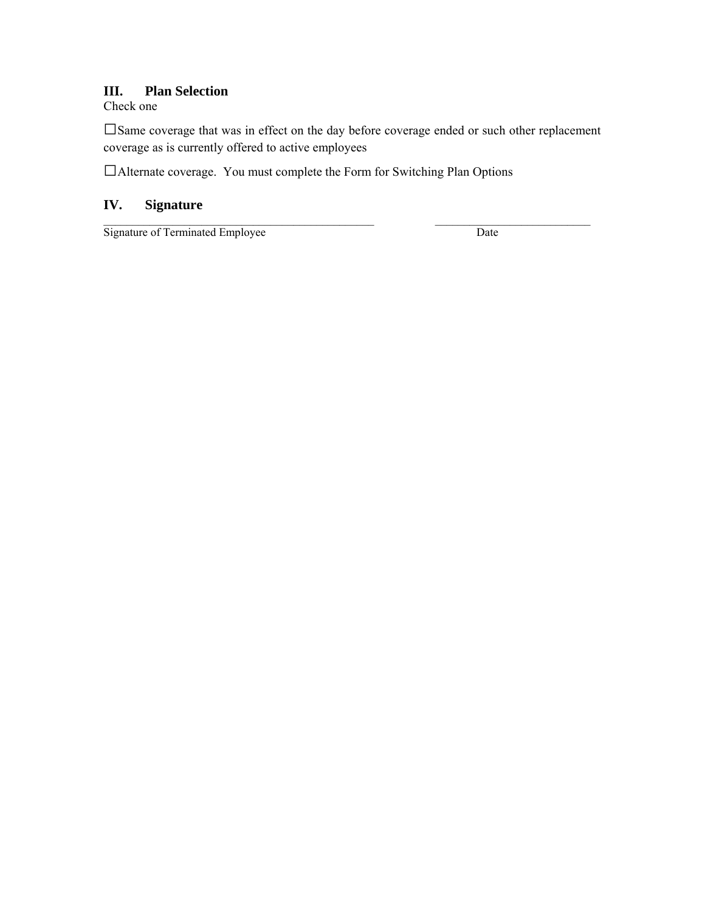### **III. Plan Selection**

Check one

□Same coverage that was in effect on the day before coverage ended or such other replacement coverage as is currently offered to active employees

 $\mathcal{L}_\text{max}$  , and the set of the set of the set of the set of the set of the set of the set of the set of the set of

□Alternate coverage. You must complete the Form for Switching Plan Options

## **IV. Signature**

Signature of Terminated Employee Date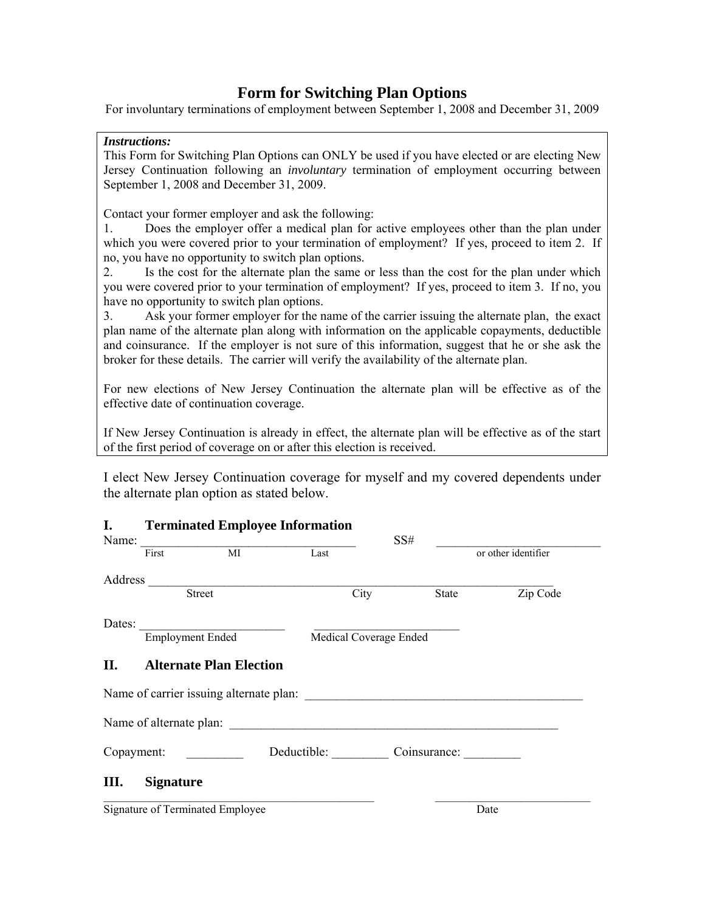## **Form for Switching Plan Options**

For involuntary terminations of employment between September 1, 2008 and December 31, 2009

#### *Instructions:*

This Form for Switching Plan Options can ONLY be used if you have elected or are electing New Jersey Continuation following an *involuntary* termination of employment occurring between September 1, 2008 and December 31, 2009.

Contact your former employer and ask the following:

1. Does the employer offer a medical plan for active employees other than the plan under which you were covered prior to your termination of employment? If yes, proceed to item 2. If no, you have no opportunity to switch plan options.

2. Is the cost for the alternate plan the same or less than the cost for the plan under which you were covered prior to your termination of employment? If yes, proceed to item 3. If no, you have no opportunity to switch plan options.

3. Ask your former employer for the name of the carrier issuing the alternate plan, the exact plan name of the alternate plan along with information on the applicable copayments, deductible and coinsurance. If the employer is not sure of this information, suggest that he or she ask the broker for these details. The carrier will verify the availability of the alternate plan.

For new elections of New Jersey Continuation the alternate plan will be effective as of the effective date of continuation coverage.

If New Jersey Continuation is already in effect, the alternate plan will be effective as of the start of the first period of coverage on or after this election is received.

I elect New Jersey Continuation coverage for myself and my covered dependents under the alternate plan option as stated below.

### **I. Terminated Employee Information**

| Name:  |                         |                                  |                          | SS# |       |                     |
|--------|-------------------------|----------------------------------|--------------------------|-----|-------|---------------------|
|        | First                   | $\overline{MI}$                  | Last                     |     |       | or other identifier |
|        |                         |                                  |                          |     |       |                     |
|        |                         | <b>Street</b>                    | City                     |     | State | Zip Code            |
| Dates: |                         |                                  |                          |     |       |                     |
|        | <b>Employment Ended</b> |                                  | Medical Coverage Ended   |     |       |                     |
| II.    |                         | <b>Alternate Plan Election</b>   |                          |     |       |                     |
|        |                         |                                  |                          |     |       |                     |
|        | Name of alternate plan: |                                  |                          |     |       |                     |
|        | Copayment:              |                                  | Deductible: Coinsurance: |     |       |                     |
| Ш.     | <b>Signature</b>        |                                  |                          |     |       |                     |
|        |                         | Signature of Terminated Employee |                          |     | Date  |                     |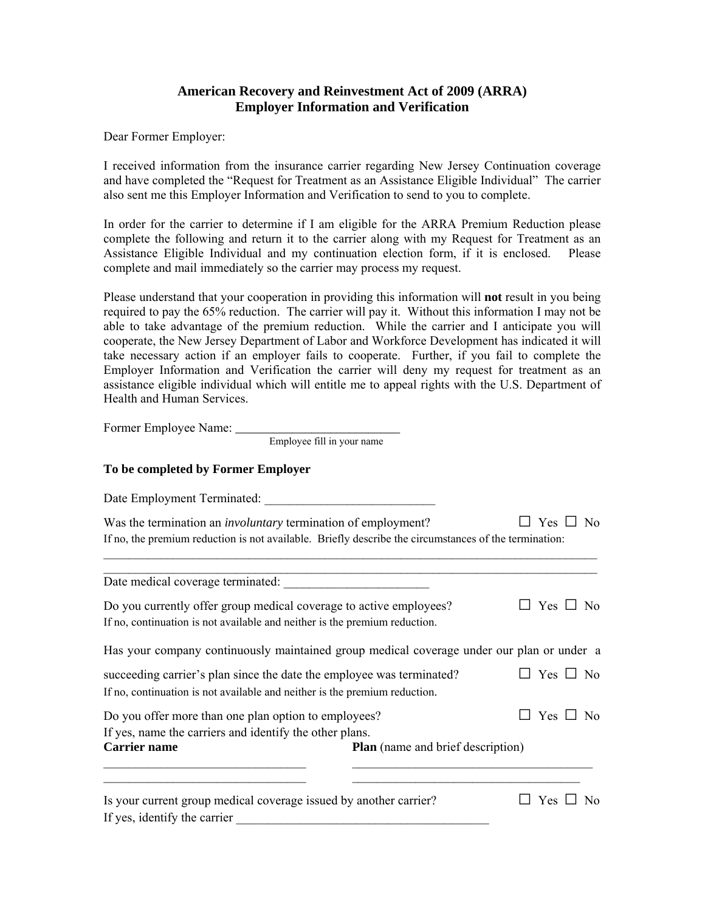### **American Recovery and Reinvestment Act of 2009 (ARRA) Employer Information and Verification**

Dear Former Employer:

I received information from the insurance carrier regarding New Jersey Continuation coverage and have completed the "Request for Treatment as an Assistance Eligible Individual" The carrier also sent me this Employer Information and Verification to send to you to complete.

In order for the carrier to determine if I am eligible for the ARRA Premium Reduction please complete the following and return it to the carrier along with my Request for Treatment as an Assistance Eligible Individual and my continuation election form, if it is enclosed. Please complete and mail immediately so the carrier may process my request.

Please understand that your cooperation in providing this information will **not** result in you being required to pay the 65% reduction. The carrier will pay it. Without this information I may not be able to take advantage of the premium reduction. While the carrier and I anticipate you will cooperate, the New Jersey Department of Labor and Workforce Development has indicated it will take necessary action if an employer fails to cooperate. Further, if you fail to complete the Employer Information and Verification the carrier will deny my request for treatment as an assistance eligible individual which will entitle me to appeal rights with the U.S. Department of Health and Human Services.

Former Employee Name:

Employee fill in your name

#### **To be completed by Former Employer**

| Date Employment Terminated:                                                                                                                                                                    |                                          |                      |  |  |  |  |
|------------------------------------------------------------------------------------------------------------------------------------------------------------------------------------------------|------------------------------------------|----------------------|--|--|--|--|
| Was the termination an <i>involuntary</i> termination of employment?<br>Yes $\Box$ No<br>If no, the premium reduction is not available. Briefly describe the circumstances of the termination: |                                          |                      |  |  |  |  |
| Date medical coverage terminated:                                                                                                                                                              |                                          |                      |  |  |  |  |
| Do you currently offer group medical coverage to active employees?<br>If no, continuation is not available and neither is the premium reduction.                                               |                                          | Yes $\Box$ No        |  |  |  |  |
| Has your company continuously maintained group medical coverage under our plan or under a                                                                                                      |                                          |                      |  |  |  |  |
| succeeding carrier's plan since the date the employee was terminated?<br>If no, continuation is not available and neither is the premium reduction.                                            |                                          | $\Box$ Yes $\Box$ No |  |  |  |  |
| Do you offer more than one plan option to employees?<br>If yes, name the carriers and identify the other plans.                                                                                |                                          | Yes $\Box$<br>No.    |  |  |  |  |
| <b>Carrier name</b>                                                                                                                                                                            | <b>Plan</b> (name and brief description) |                      |  |  |  |  |
| Is your current group medical coverage issued by another carrier?<br>If yes, identify the carrier                                                                                              |                                          | Yes $\Box$<br>No     |  |  |  |  |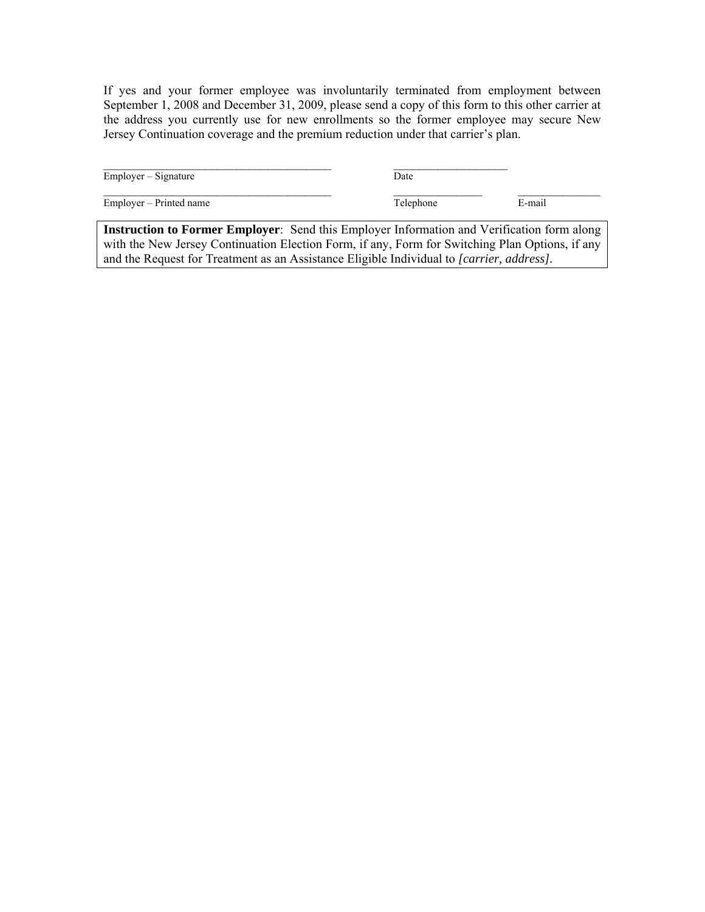If yes and your former employee was involuntarily terminated from employment between September 1, 2008 and December 31, 2009, please send a copy of this form to this other carrier at the address you currently use for new enrollments so the former employee may secure New Jersey Continuation coverage and the premium reduction under that carrier's plan.

| $Emplover-Signature$                                                                                                                                                                                                                                                              | Date      |        |
|-----------------------------------------------------------------------------------------------------------------------------------------------------------------------------------------------------------------------------------------------------------------------------------|-----------|--------|
| Employer – Printed name                                                                                                                                                                                                                                                           | Telephone | E-mail |
| <b>Instruction to Former Employer:</b> Send this Employer Information and Verification form along<br>with the Magnetic $\alpha$ of continuation $\Gamma$ between $\Gamma$ and $\Gamma$ and $\Gamma$ and $\alpha$ and $\alpha$ and $\alpha$ and $\alpha$ and $\alpha$ and $\alpha$ |           |        |

with the New Jersey Continuation Election Form, if any, Form for Switching Plan Options, if any and the Request for Treatment as an Assistance Eligible Individual to *[carrier, address].*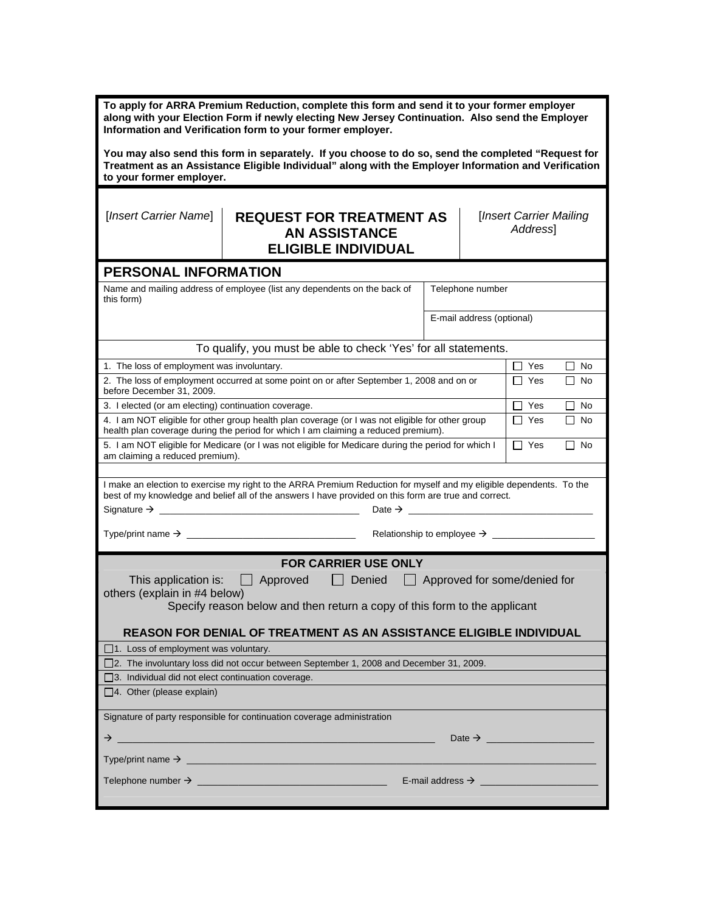| To apply for ARRA Premium Reduction, complete this form and send it to your former employer<br>along with your Election Form if newly electing New Jersey Continuation. Also send the Employer<br>Information and Verification form to your former employer.                                                |                                                                                                                                                                                        |                  |                                      |  |  |  |
|-------------------------------------------------------------------------------------------------------------------------------------------------------------------------------------------------------------------------------------------------------------------------------------------------------------|----------------------------------------------------------------------------------------------------------------------------------------------------------------------------------------|------------------|--------------------------------------|--|--|--|
| You may also send this form in separately. If you choose to do so, send the completed "Request for<br>Treatment as an Assistance Eligible Individual" along with the Employer Information and Verification<br>to your former employer.                                                                      |                                                                                                                                                                                        |                  |                                      |  |  |  |
| [Insert Carrier Name]                                                                                                                                                                                                                                                                                       | <b>REQUEST FOR TREATMENT AS</b><br><b>AN ASSISTANCE</b><br><b>ELIGIBLE INDIVIDUAL</b>                                                                                                  |                  | [Insert Carrier Mailing]<br>Address1 |  |  |  |
| PERSONAL INFORMATION                                                                                                                                                                                                                                                                                        |                                                                                                                                                                                        |                  |                                      |  |  |  |
| this form)                                                                                                                                                                                                                                                                                                  | Name and mailing address of employee (list any dependents on the back of                                                                                                               | Telephone number |                                      |  |  |  |
|                                                                                                                                                                                                                                                                                                             |                                                                                                                                                                                        |                  | E-mail address (optional)            |  |  |  |
|                                                                                                                                                                                                                                                                                                             | To qualify, you must be able to check 'Yes' for all statements.                                                                                                                        |                  |                                      |  |  |  |
| 1. The loss of employment was involuntary.                                                                                                                                                                                                                                                                  |                                                                                                                                                                                        |                  | $\Box$ Yes<br>No<br>ΙI               |  |  |  |
| before December 31, 2009.                                                                                                                                                                                                                                                                                   | 2. The loss of employment occurred at some point on or after September 1, 2008 and on or                                                                                               |                  | $\Box$ Yes<br>$\Box$ No              |  |  |  |
| 3. I elected (or am electing) continuation coverage.                                                                                                                                                                                                                                                        |                                                                                                                                                                                        |                  | $\Box$ Yes<br>$\Box$ No              |  |  |  |
|                                                                                                                                                                                                                                                                                                             | 4. I am NOT eligible for other group health plan coverage (or I was not eligible for other group<br>health plan coverage during the period for which I am claiming a reduced premium). |                  | $\Box$ Yes<br>l I No                 |  |  |  |
|                                                                                                                                                                                                                                                                                                             | 5. I am NOT eligible for Medicare (or I was not eligible for Medicare during the period for which I<br>$\Box$ Yes<br>l I No<br>am claiming a reduced premium).                         |                  |                                      |  |  |  |
| I make an election to exercise my right to the ARRA Premium Reduction for myself and my eligible dependents. To the<br>best of my knowledge and belief all of the answers I have provided on this form are true and correct.                                                                                |                                                                                                                                                                                        |                  |                                      |  |  |  |
|                                                                                                                                                                                                                                                                                                             |                                                                                                                                                                                        |                  |                                      |  |  |  |
| <b>FOR CARRIER USE ONLY</b><br>This application is: Approved<br>Denied<br>$\Box$ Approved for some/denied for<br>$\Box$<br>others (explain in #4 below)<br>Specify reason below and then return a copy of this form to the applicant<br>REASON FOR DENIAL OF TREATMENT AS AN ASSISTANCE ELIGIBLE INDIVIDUAL |                                                                                                                                                                                        |                  |                                      |  |  |  |
| $\Box$ 1. Loss of employment was voluntary.                                                                                                                                                                                                                                                                 |                                                                                                                                                                                        |                  |                                      |  |  |  |
| □ 2. The involuntary loss did not occur between September 1, 2008 and December 31, 2009.                                                                                                                                                                                                                    |                                                                                                                                                                                        |                  |                                      |  |  |  |
| $\Box$ 3. Individual did not elect continuation coverage.                                                                                                                                                                                                                                                   |                                                                                                                                                                                        |                  |                                      |  |  |  |
| $\Box$ 4. Other (please explain)                                                                                                                                                                                                                                                                            |                                                                                                                                                                                        |                  |                                      |  |  |  |
| Signature of party responsible for continuation coverage administration                                                                                                                                                                                                                                     |                                                                                                                                                                                        |                  |                                      |  |  |  |
| →<br>Date $\rightarrow$<br>the control of the control of the control of the control of the control of the control of the control of the control of the control of the control of the control of the control of the control of the control of the control                                                    |                                                                                                                                                                                        |                  |                                      |  |  |  |
|                                                                                                                                                                                                                                                                                                             |                                                                                                                                                                                        |                  |                                      |  |  |  |
| E-mail address $\rightarrow$                                                                                                                                                                                                                                                                                |                                                                                                                                                                                        |                  |                                      |  |  |  |

ш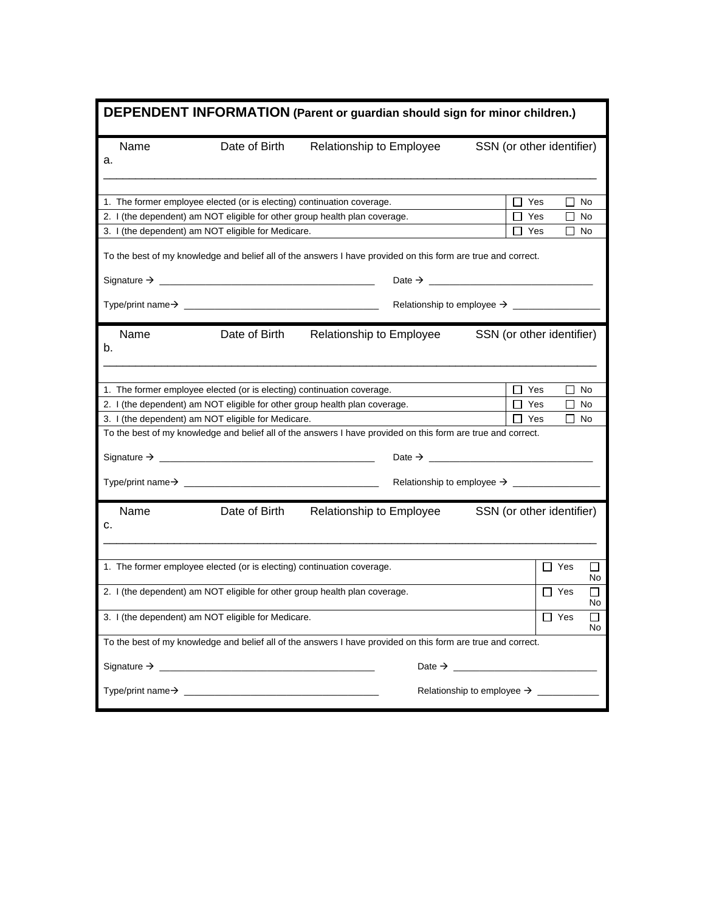|    | DEPENDENT INFORMATION (Parent or guardian should sign for minor children.)                                   |                                                                        |                                                                                                              |                                        |  |  |  |
|----|--------------------------------------------------------------------------------------------------------------|------------------------------------------------------------------------|--------------------------------------------------------------------------------------------------------------|----------------------------------------|--|--|--|
| а. | Name                                                                                                         | Date of Birth                                                          | Relationship to Employee                                                                                     | SSN (or other identifier)              |  |  |  |
|    |                                                                                                              | 1. The former employee elected (or is electing) continuation coverage. |                                                                                                              | Yes<br>П<br>No                         |  |  |  |
|    |                                                                                                              |                                                                        | 2. I (the dependent) am NOT eligible for other group health plan coverage.                                   | $\Box$ Yes<br>$\Box$ No                |  |  |  |
|    |                                                                                                              | 3. I (the dependent) am NOT eligible for Medicare.                     |                                                                                                              | Yes<br>$\Box$ No                       |  |  |  |
|    |                                                                                                              |                                                                        | To the best of my knowledge and belief all of the answers I have provided on this form are true and correct. |                                        |  |  |  |
|    |                                                                                                              |                                                                        |                                                                                                              |                                        |  |  |  |
|    |                                                                                                              |                                                                        |                                                                                                              |                                        |  |  |  |
| b. | Name                                                                                                         | Date of Birth                                                          | Relationship to Employee                                                                                     | SSN (or other identifier)              |  |  |  |
|    |                                                                                                              | 1. The former employee elected (or is electing) continuation coverage. |                                                                                                              | $\Box$ Yes<br>П<br>No                  |  |  |  |
|    |                                                                                                              |                                                                        | 2. I (the dependent) am NOT eligible for other group health plan coverage.                                   | $\Box$ Yes<br>$\Box$ No                |  |  |  |
|    | 3. I (the dependent) am NOT eligible for Medicare.<br>Yes<br>No<br>$\mathsf{L}$                              |                                                                        |                                                                                                              |                                        |  |  |  |
|    |                                                                                                              |                                                                        | To the best of my knowledge and belief all of the answers I have provided on this form are true and correct. |                                        |  |  |  |
|    |                                                                                                              |                                                                        |                                                                                                              |                                        |  |  |  |
|    |                                                                                                              |                                                                        |                                                                                                              |                                        |  |  |  |
| c. | Name                                                                                                         | Date of Birth                                                          | Relationship to Employee                                                                                     | SSN (or other identifier)              |  |  |  |
|    |                                                                                                              | 1. The former employee elected (or is electing) continuation coverage. |                                                                                                              | $\Box$ Yes<br>$\perp$<br>No            |  |  |  |
|    |                                                                                                              |                                                                        | 2. I (the dependent) am NOT eligible for other group health plan coverage.                                   | $\Box$ Yes<br>ΙI<br>No                 |  |  |  |
|    |                                                                                                              | 3. I (the dependent) am NOT eligible for Medicare.                     |                                                                                                              | $\Box$ Yes<br>$\Box$<br>No.            |  |  |  |
|    | To the best of my knowledge and belief all of the answers I have provided on this form are true and correct. |                                                                        |                                                                                                              |                                        |  |  |  |
|    |                                                                                                              |                                                                        |                                                                                                              | Date $\rightarrow$                     |  |  |  |
|    |                                                                                                              |                                                                        |                                                                                                              | Relationship to employee $\rightarrow$ |  |  |  |